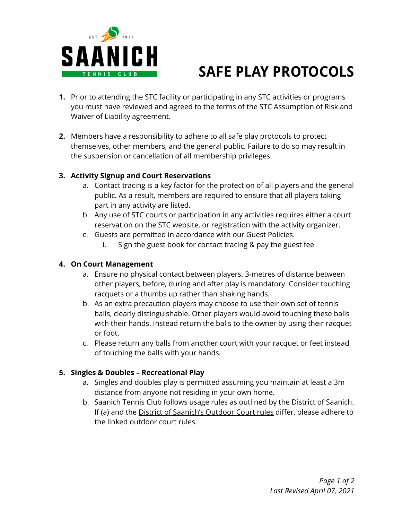

# **SAFE PLAY PROTOCOLS**

- **1.** Prior to attending the STC facility or participating in any STC activities or programs you must have reviewed and agreed to the terms of the STC Assumption of Risk and Waiver of Liability agreement.
- **2.** Members have a responsibility to adhere to all safe play protocols to protect themselves, other members, and the general public. Failure to do so may result in the suspension or cancellation of all membership privileges.

#### **3. Activity Signup and Court Reservations**

- a. Contact tracing is a key factor for the protection of all players and the general public. As a result, members are required to ensure that all players taking part in any activity are listed.
- b. Any use of STC courts or participation in any activities requires either a court reservation on the STC website, or registration with the activity organizer.
- c. Guests are permitted in accordance with our Guest Policies.
	- i. Sign the guest book for contact tracing & pay the guest fee

## **4. On Court Management**

- a. Ensure no physical contact between players. 3-metres of distance between other players, before, during and after play is mandatory. Consider touching racquets or a thumbs up rather than shaking hands.
- b. As an extra precaution players may choose to use their own set of tennis balls, clearly distinguishable. Other players would avoid touching these balls with their hands. Instead return the balls to the owner by using their racquet or foot.
- c. Please return any balls from another court with your racquet or feet instead of touching the balls with your hands.

## **5. Singles & Doubles – Recreational Play**

- a. Singles and doubles play is permitted assuming you maintain at least a 3m distance from anyone not residing in your own home.
- b. Saanich Tennis Club follows usage rules as outlined by the District of Saanich. If (a) and the District of [Saanich's](https://www.saanich.ca/EN/main/parks-recreation-community/parks/parks-trails-amenities/amenities/tennis-courts.html) Outdoor Court rules differ, please adhere to the linked outdoor court rules.